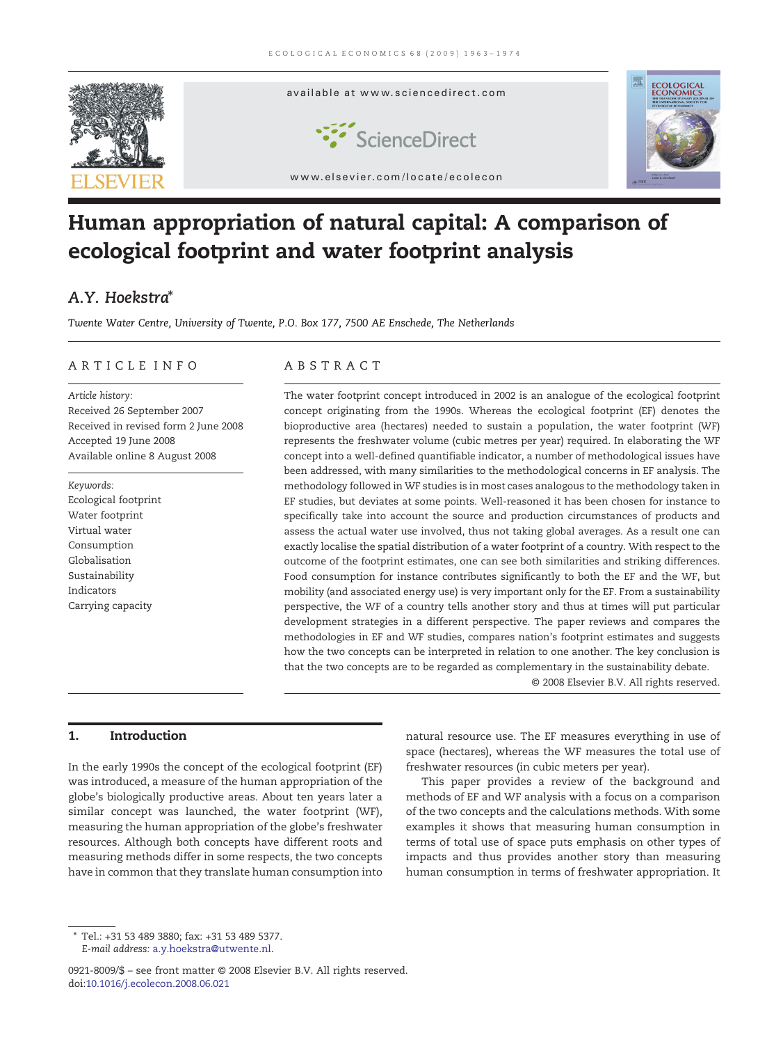

# Human appropriation of natural capital: A comparison of ecological footprint and water footprint analysis

## A.Y. Hoekstra<sup>\*</sup>

Twente Water Centre, University of Twente, P.O. Box 177, 7500 AE Enschede, The Netherlands

#### ARTICLE INFO ABSTRACT

Article history: Received 26 September 2007 Received in revised form 2 June 2008 Accepted 19 June 2008 Available online 8 August 2008

Keywords: Ecological footprint Water footprint Virtual water Consumption Globalisation Sustainability Indicators Carrying capacity

The water footprint concept introduced in 2002 is an analogue of the ecological footprint concept originating from the 1990s. Whereas the ecological footprint (EF) denotes the bioproductive area (hectares) needed to sustain a population, the water footprint (WF) represents the freshwater volume (cubic metres per year) required. In elaborating the WF concept into a well-defined quantifiable indicator, a number of methodological issues have been addressed, with many similarities to the methodological concerns in EF analysis. The methodology followed in WF studies is in most cases analogous to the methodology taken in EF studies, but deviates at some points. Well-reasoned it has been chosen for instance to specifically take into account the source and production circumstances of products and assess the actual water use involved, thus not taking global averages. As a result one can exactly localise the spatial distribution of a water footprint of a country. With respect to the outcome of the footprint estimates, one can see both similarities and striking differences. Food consumption for instance contributes significantly to both the EF and the WF, but mobility (and associated energy use) is very important only for the EF. From a sustainability perspective, the WF of a country tells another story and thus at times will put particular development strategies in a different perspective. The paper reviews and compares the methodologies in EF and WF studies, compares nation's footprint estimates and suggests how the two concepts can be interpreted in relation to one another. The key conclusion is that the two concepts are to be regarded as complementary in the sustainability debate.

© 2008 Elsevier B.V. All rights reserved.

#### 1. Introduction

In the early 1990s the concept of the ecological footprint (EF) was introduced, a measure of the human appropriation of the globe's biologically productive areas. About ten years later a similar concept was launched, the water footprint (WF), measuring the human appropriation of the globe's freshwater resources. Although both concepts have different roots and measuring methods differ in some respects, the two concepts have in common that they translate human consumption into

natural resource use. The EF measures everything in use of space (hectares), whereas the WF measures the total use of freshwater resources (in cubic meters per year).

This paper provides a review of the background and methods of EF and WF analysis with a focus on a comparison of the two concepts and the calculations methods. With some examples it shows that measuring human consumption in terms of total use of space puts emphasis on other types of impacts and thus provides another story than measuring human consumption in terms of freshwater appropriation. It

<sup>⁎</sup> Tel.: +31 53 489 3880; fax: +31 53 489 5377. E-mail address: [a.y.hoekstra@utwente.nl](mailto:a.y.hoekstra@utwente.nl).

<sup>0921-8009/\$</sup> – see front matter © 2008 Elsevier B.V. All rights reserved. doi[:10.1016/j.ecolecon.2008.06.021](http://dx.doi.org/10.1016/j.ecolecon.2008.06.021)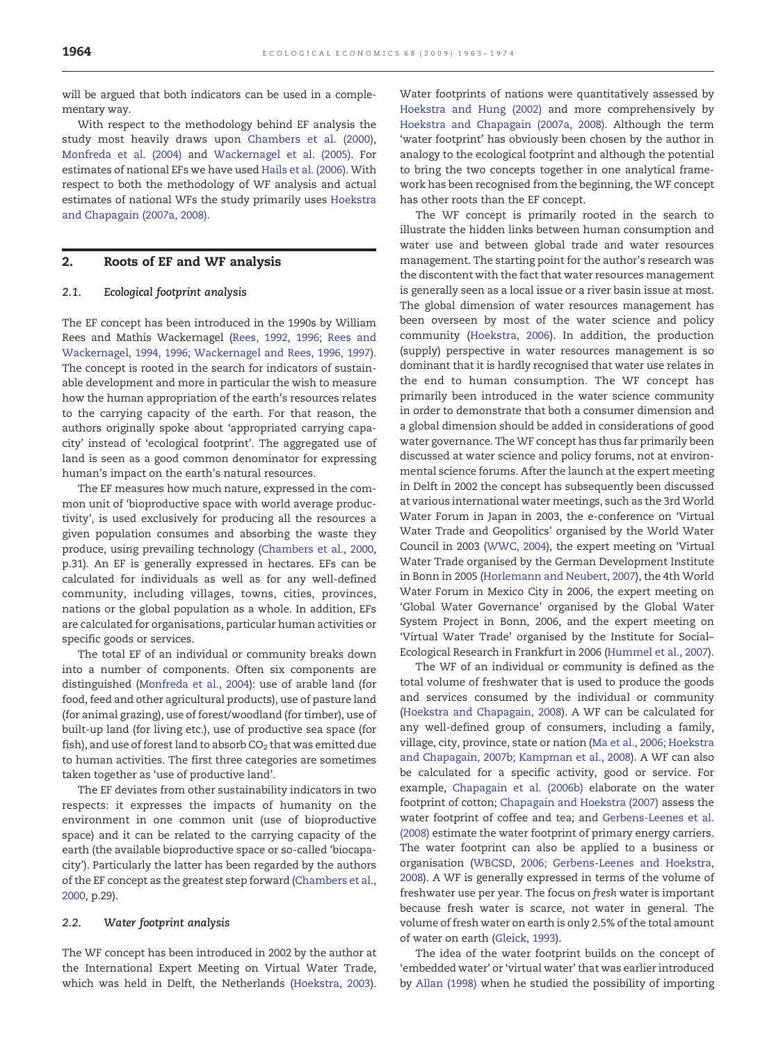will be argued that both indicators can be used in a complementary way.

With respect to the methodology behind EF analysis the study most heavily draws upon [Chambers et al. \(2000\)](#page-9-0), [Monfreda et al. \(2004\)](#page-10-0) and [Wackernagel et al. \(2005\).](#page-11-0) For estimates of national EFs we have used [Hails et al. \(2006\)](#page-10-0). With respect to both the methodology of WF analysis and actual estimates of national WFs the study primarily uses [Hoekstra](#page-10-0) [and Chapagain \(2007a, 2008\)](#page-10-0).

#### 2. Roots of EF and WF analysis

#### 2.1. Ecological footprint analysis

The EF concept has been introduced in the 1990s by William Rees and Mathis Wackernagel ([Rees, 1992, 1996; Rees and](#page-10-0) [Wackernagel, 1994, 1996; Wackernagel and Rees, 1996, 1997\)](#page-10-0). The concept is rooted in the search for indicators of sustainable development and more in particular the wish to measure how the human appropriation of the earth's resources relates to the carrying capacity of the earth. For that reason, the authors originally spoke about 'appropriated carrying capacity' instead of 'ecological footprint'. The aggregated use of land is seen as a good common denominator for expressing human's impact on the earth's natural resources.

The EF measures how much nature, expressed in the common unit of 'bioproductive space with world average productivity', is used exclusively for producing all the resources a given population consumes and absorbing the waste they produce, using prevailing technology [\(Chambers et al., 2000](#page-9-0), p.31). An EF is generally expressed in hectares. EFs can be calculated for individuals as well as for any well-defined community, including villages, towns, cities, provinces, nations or the global population as a whole. In addition, EFs are calculated for organisations, particular human activities or specific goods or services.

The total EF of an individual or community breaks down into a number of components. Often six components are distinguished ([Monfreda et al., 2004\)](#page-10-0): use of arable land (for food, feed and other agricultural products), use of pasture land (for animal grazing), use of forest/woodland (for timber), use of built-up land (for living etc.), use of productive sea space (for fish), and use of forest land to absorb  $CO<sub>2</sub>$  that was emitted due to human activities. The first three categories are sometimes taken together as 'use of productive land'.

The EF deviates from other sustainability indicators in two respects: it expresses the impacts of humanity on the environment in one common unit (use of bioproductive space) and it can be related to the carrying capacity of the earth (the available bioproductive space or so-called 'biocapacity'). Particularly the latter has been regarded by the authors of the EF concept as the greatest step forward ([Chambers et al.,](#page-9-0) [2000,](#page-9-0) p.29).

#### 2.2. Water footprint analysis

The WF concept has been introduced in 2002 by the author at the International Expert Meeting on Virtual Water Trade, which was held in Delft, the Netherlands [\(Hoekstra, 2003\)](#page-10-0).

Water footprints of nations were quantitatively assessed by [Hoekstra and Hung \(2002\)](#page-10-0) and more comprehensively by [Hoekstra and Chapagain \(2007a, 2008\)](#page-10-0). Although the term 'water footprint' has obviously been chosen by the author in analogy to the ecological footprint and although the potential to bring the two concepts together in one analytical framework has been recognised from the beginning, the WF concept has other roots than the EF concept.

The WF concept is primarily rooted in the search to illustrate the hidden links between human consumption and water use and between global trade and water resources management. The starting point for the author's research was the discontent with the fact that water resources management is generally seen as a local issue or a river basin issue at most. The global dimension of water resources management has been overseen by most of the water science and policy community ([Hoekstra, 2006](#page-10-0)). In addition, the production (supply) perspective in water resources management is so dominant that it is hardly recognised that water use relates in the end to human consumption. The WF concept has primarily been introduced in the water science community in order to demonstrate that both a consumer dimension and a global dimension should be added in considerations of good water governance. The WF concept has thus far primarily been discussed at water science and policy forums, not at environmental science forums. After the launch at the expert meeting in Delft in 2002 the concept has subsequently been discussed at various international water meetings, such as the 3rd World Water Forum in Japan in 2003, the e-conference on 'Virtual Water Trade and Geopolitics' organised by the World Water Council in 2003 ([WWC, 2004\)](#page-11-0), the expert meeting on 'Virtual Water Trade organised by the German Development Institute in Bonn in 2005 ([Horlemann and Neubert, 2007](#page-10-0)), the 4th World Water Forum in Mexico City in 2006, the expert meeting on 'Global Water Governance' organised by the Global Water System Project in Bonn, 2006, and the expert meeting on 'Virtual Water Trade' organised by the Institute for Social– Ecological Research in Frankfurt in 2006 [\(Hummel et al., 2007\)](#page-10-0).

The WF of an individual or community is defined as the total volume of freshwater that is used to produce the goods and services consumed by the individual or community ([Hoekstra and Chapagain, 2008](#page-10-0)). A WF can be calculated for any well-defined group of consumers, including a family, village, city, province, state or nation ([Ma et al., 2006; Hoekstra](#page-10-0) [and Chapagain, 2007b; Kampman et al., 2008\)](#page-10-0). A WF can also be calculated for a specific activity, good or service. For example, [Chapagain et al. \(2006b\)](#page-10-0) elaborate on the water footprint of cotton; [Chapagain and Hoekstra \(2007\)](#page-10-0) assess the water footprint of coffee and tea; and [Gerbens-Leenes et al.](#page-10-0) [\(2008\)](#page-10-0) estimate the water footprint of primary energy carriers. The water footprint can also be applied to a business or organisation [\(WBCSD, 2006; Gerbens-Leenes and Hoekstra,](#page-11-0) [2008\)](#page-11-0). A WF is generally expressed in terms of the volume of freshwater use per year. The focus on fresh water is important because fresh water is scarce, not water in general. The volume of fresh water on earth is only 2.5% of the total amount of water on earth ([Gleick, 1993\)](#page-10-0).

The idea of the water footprint builds on the concept of 'embedded water' or 'virtual water' that was earlier introduced by [Allan \(1998\)](#page-9-0) when he studied the possibility of importing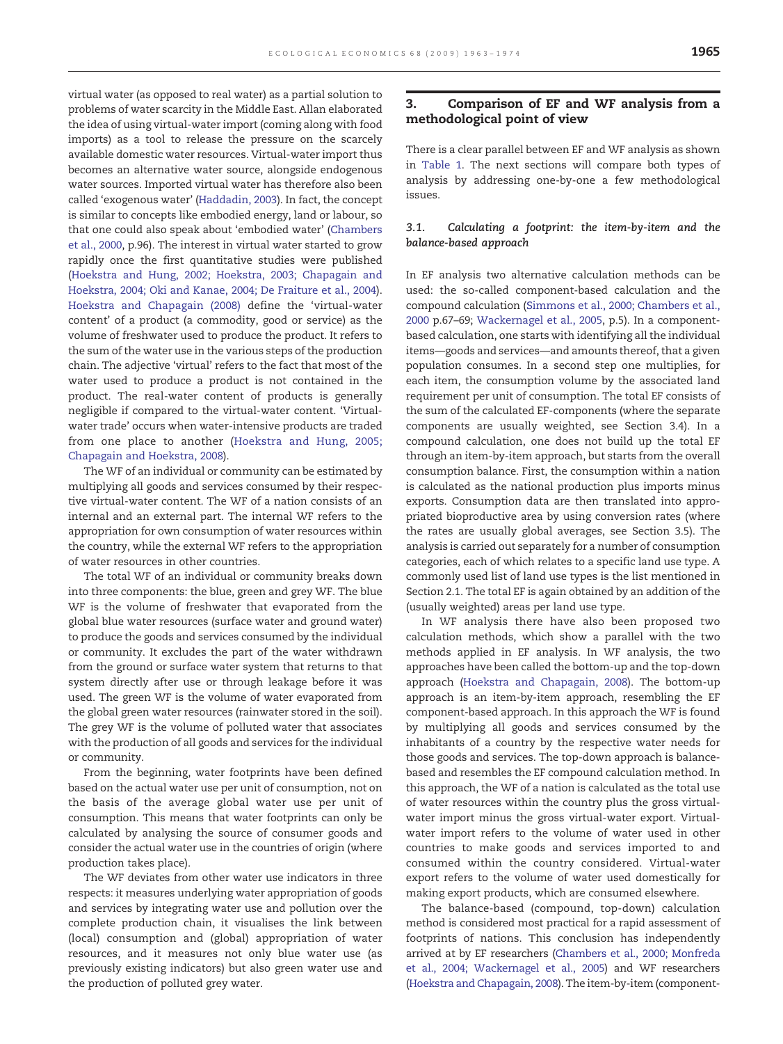virtual water (as opposed to real water) as a partial solution to problems of water scarcity in the Middle East. Allan elaborated the idea of using virtual-water import (coming along with food imports) as a tool to release the pressure on the scarcely available domestic water resources. Virtual-water import thus becomes an alternative water source, alongside endogenous water sources. Imported virtual water has therefore also been called 'exogenous water' [\(Haddadin, 2003\)](#page-10-0). In fact, the concept is similar to concepts like embodied energy, land or labour, so that one could also speak about 'embodied water' [\(Chambers](#page-9-0) [et al., 2000,](#page-9-0) p.96). The interest in virtual water started to grow rapidly once the first quantitative studies were published [\(Hoekstra and Hung, 2002; Hoekstra, 2003; Chapagain and](#page-10-0) [Hoekstra, 2004; Oki and Kanae, 2004; De Fraiture et al., 2004](#page-10-0)). [Hoekstra and Chapagain \(2008\)](#page-10-0) define the 'virtual-water content' of a product (a commodity, good or service) as the volume of freshwater used to produce the product. It refers to the sum of the water use in the various steps of the production chain. The adjective 'virtual' refers to the fact that most of the water used to produce a product is not contained in the product. The real-water content of products is generally negligible if compared to the virtual-water content. 'Virtualwater trade' occurs when water-intensive products are traded from one place to another ([Hoekstra and Hung, 2005;](#page-10-0) [Chapagain and Hoekstra, 2008\)](#page-10-0).

The WF of an individual or community can be estimated by multiplying all goods and services consumed by their respective virtual-water content. The WF of a nation consists of an internal and an external part. The internal WF refers to the appropriation for own consumption of water resources within the country, while the external WF refers to the appropriation of water resources in other countries.

The total WF of an individual or community breaks down into three components: the blue, green and grey WF. The blue WF is the volume of freshwater that evaporated from the global blue water resources (surface water and ground water) to produce the goods and services consumed by the individual or community. It excludes the part of the water withdrawn from the ground or surface water system that returns to that system directly after use or through leakage before it was used. The green WF is the volume of water evaporated from the global green water resources (rainwater stored in the soil). The grey WF is the volume of polluted water that associates with the production of all goods and services for the individual or community.

From the beginning, water footprints have been defined based on the actual water use per unit of consumption, not on the basis of the average global water use per unit of consumption. This means that water footprints can only be calculated by analysing the source of consumer goods and consider the actual water use in the countries of origin (where production takes place).

The WF deviates from other water use indicators in three respects: it measures underlying water appropriation of goods and services by integrating water use and pollution over the complete production chain, it visualises the link between (local) consumption and (global) appropriation of water resources, and it measures not only blue water use (as previously existing indicators) but also green water use and the production of polluted grey water.

#### 3. Comparison of EF and WF analysis from a methodological point of view

There is a clear parallel between EF and WF analysis as shown in [Table 1](#page-3-0). The next sections will compare both types of analysis by addressing one-by-one a few methodological issues.

#### 3.1. Calculating a footprint: the item-by-item and the balance-based approach

In EF analysis two alternative calculation methods can be used: the so-called component-based calculation and the compound calculation ([Simmons et al., 2000; Chambers et al.,](#page-10-0) [2000](#page-10-0) p.67–69; [Wackernagel et al., 2005](#page-11-0), p.5). In a componentbased calculation, one starts with identifying all the individual items—goods and services—and amounts thereof, that a given population consumes. In a second step one multiplies, for each item, the consumption volume by the associated land requirement per unit of consumption. The total EF consists of the sum of the calculated EF-components (where the separate components are usually weighted, see Section 3.4). In a compound calculation, one does not build up the total EF through an item-by-item approach, but starts from the overall consumption balance. First, the consumption within a nation is calculated as the national production plus imports minus exports. Consumption data are then translated into appropriated bioproductive area by using conversion rates (where the rates are usually global averages, see Section 3.5). The analysis is carried out separately for a number of consumption categories, each of which relates to a specific land use type. A commonly used list of land use types is the list mentioned in Section 2.1. The total EF is again obtained by an addition of the (usually weighted) areas per land use type.

In WF analysis there have also been proposed two calculation methods, which show a parallel with the two methods applied in EF analysis. In WF analysis, the two approaches have been called the bottom-up and the top-down approach ([Hoekstra and Chapagain, 2008](#page-10-0)). The bottom-up approach is an item-by-item approach, resembling the EF component-based approach. In this approach the WF is found by multiplying all goods and services consumed by the inhabitants of a country by the respective water needs for those goods and services. The top-down approach is balancebased and resembles the EF compound calculation method. In this approach, the WF of a nation is calculated as the total use of water resources within the country plus the gross virtualwater import minus the gross virtual-water export. Virtualwater import refers to the volume of water used in other countries to make goods and services imported to and consumed within the country considered. Virtual-water export refers to the volume of water used domestically for making export products, which are consumed elsewhere.

The balance-based (compound, top-down) calculation method is considered most practical for a rapid assessment of footprints of nations. This conclusion has independently arrived at by EF researchers ([Chambers et al., 2000; Monfreda](#page-9-0) [et al., 2004; Wackernagel et al., 2005](#page-9-0)) and WF researchers [\(Hoekstra and Chapagain, 2008\)](#page-10-0). The item-by-item (component-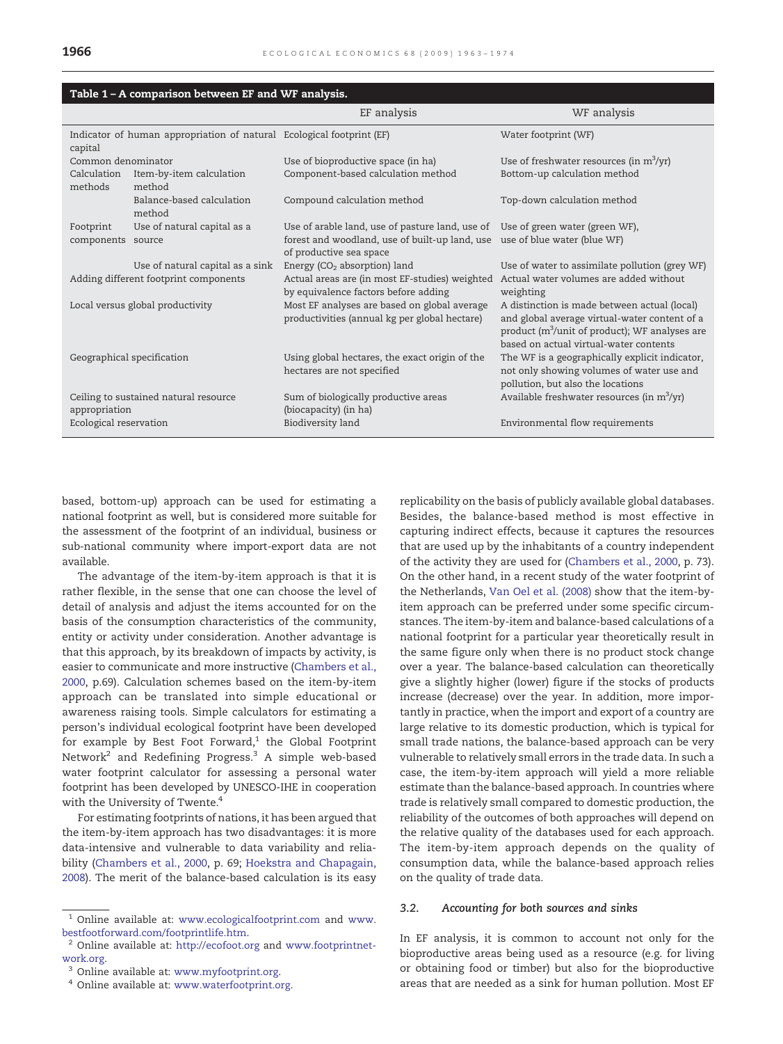<span id="page-3-0"></span>

| Table 1 - A comparison between EF and WF analysis.                               |                                     |                                                                                                       |                                                                                                                                                                                              |
|----------------------------------------------------------------------------------|-------------------------------------|-------------------------------------------------------------------------------------------------------|----------------------------------------------------------------------------------------------------------------------------------------------------------------------------------------------|
|                                                                                  |                                     | EF analysis                                                                                           | WF analysis                                                                                                                                                                                  |
| Indicator of human appropriation of natural Ecological footprint (EF)<br>capital |                                     |                                                                                                       | Water footprint (WF)                                                                                                                                                                         |
| Common denominator                                                               |                                     | Use of bioproductive space (in ha)                                                                    | Use of freshwater resources (in $m^3/yr$ )                                                                                                                                                   |
| Calculation<br>methods                                                           | Item-by-item calculation<br>method  | Component-based calculation method                                                                    | Bottom-up calculation method                                                                                                                                                                 |
|                                                                                  | Balance-based calculation<br>method | Compound calculation method                                                                           | Top-down calculation method                                                                                                                                                                  |
| Footprint                                                                        | Use of natural capital as a         | Use of arable land, use of pasture land, use of Use of green water (green WF),                        |                                                                                                                                                                                              |
| components source                                                                |                                     | forest and woodland, use of built-up land, use use of blue water (blue WF)<br>of productive sea space |                                                                                                                                                                                              |
|                                                                                  | Use of natural capital as a sink    | Energy ( $CO2$ absorption) land                                                                       | Use of water to assimilate pollution (grey WF)                                                                                                                                               |
| Adding different footprint components                                            |                                     | Actual areas are (in most EF-studies) weighted<br>by equivalence factors before adding                | Actual water volumes are added without<br>weighting                                                                                                                                          |
| Local versus global productivity                                                 |                                     | Most EF analyses are based on global average<br>productivities (annual kg per global hectare)         | A distinction is made between actual (local)<br>and global average virtual-water content of a<br>product $(m^3/$ unit of product); WF analyses are<br>based on actual virtual-water contents |
| Geographical specification                                                       |                                     | Using global hectares, the exact origin of the<br>hectares are not specified                          | The WF is a geographically explicit indicator,<br>not only showing volumes of water use and<br>pollution, but also the locations                                                             |
| Ceiling to sustained natural resource<br>appropriation                           |                                     | Sum of biologically productive areas<br>(biocapacity) (in ha)                                         | Available freshwater resources (in $m^3/yr$ )                                                                                                                                                |
| Ecological reservation                                                           |                                     | Biodiversity land                                                                                     | Environmental flow requirements                                                                                                                                                              |

based, bottom-up) approach can be used for estimating a national footprint as well, but is considered more suitable for the assessment of the footprint of an individual, business or sub-national community where import-export data are not available.

The advantage of the item-by-item approach is that it is rather flexible, in the sense that one can choose the level of detail of analysis and adjust the items accounted for on the basis of the consumption characteristics of the community, entity or activity under consideration. Another advantage is that this approach, by its breakdown of impacts by activity, is easier to communicate and more instructive ([Chambers et al.,](#page-9-0) [2000,](#page-9-0) p.69). Calculation schemes based on the item-by-item approach can be translated into simple educational or awareness raising tools. Simple calculators for estimating a person's individual ecological footprint have been developed for example by Best Foot Forward, $1$  the Global Footprint Network2 and Redefining Progress.3 A simple web-based water footprint calculator for assessing a personal water footprint has been developed by UNESCO-IHE in cooperation with the University of Twente.<sup>4</sup>

For estimating footprints of nations, it has been argued that the item-by-item approach has two disadvantages: it is more data-intensive and vulnerable to data variability and reliability ([Chambers et al., 2000,](#page-9-0) p. 69; [Hoekstra and Chapagain,](#page-10-0) [2008\)](#page-10-0). The merit of the balance-based calculation is its easy replicability on the basis of publicly available global databases. Besides, the balance-based method is most effective in capturing indirect effects, because it captures the resources that are used up by the inhabitants of a country independent of the activity they are used for [\(Chambers et al., 2000,](#page-9-0) p. 73). On the other hand, in a recent study of the water footprint of the Netherlands, [Van Oel et al. \(2008\)](#page-11-0) show that the item-byitem approach can be preferred under some specific circumstances. The item-by-item and balance-based calculations of a national footprint for a particular year theoretically result in the same figure only when there is no product stock change over a year. The balance-based calculation can theoretically give a slightly higher (lower) figure if the stocks of products increase (decrease) over the year. In addition, more importantly in practice, when the import and export of a country are large relative to its domestic production, which is typical for small trade nations, the balance-based approach can be very vulnerable to relatively small errors in the trade data. In such a case, the item-by-item approach will yield a more reliable estimate than the balance-based approach. In countries where trade is relatively small compared to domestic production, the reliability of the outcomes of both approaches will depend on the relative quality of the databases used for each approach. The item-by-item approach depends on the quality of consumption data, while the balance-based approach relies on the quality of trade data.

#### 3.2. Accounting for both sources and sinks

In EF analysis, it is common to account not only for the bioproductive areas being used as a resource (e.g. for living or obtaining food or timber) but also for the bioproductive areas that are needed as a sink for human pollution. Most EF

<sup>&</sup>lt;sup>1</sup> Online available at: [www.ecologicalfootprint.com](http://www.ecologicalfootprint.com) and [www.](http://www.bestfootforward.com/footprintlife.htm) [bestfootforward.com/footprintlife.htm.](http://www.bestfootforward.com/footprintlife.htm)

 $2$  Online available at: <http://ecofoot.org> and [www.footprintnet](http://www.footprintnetwork.org)[work.org](http://www.footprintnetwork.org).

<sup>&</sup>lt;sup>3</sup> Online available at: [www.myfootprint.org.](http://www.myfootprint.org)

<sup>4</sup> Online available at: [www.waterfootprint.org.](http://www.waterfootprint.org)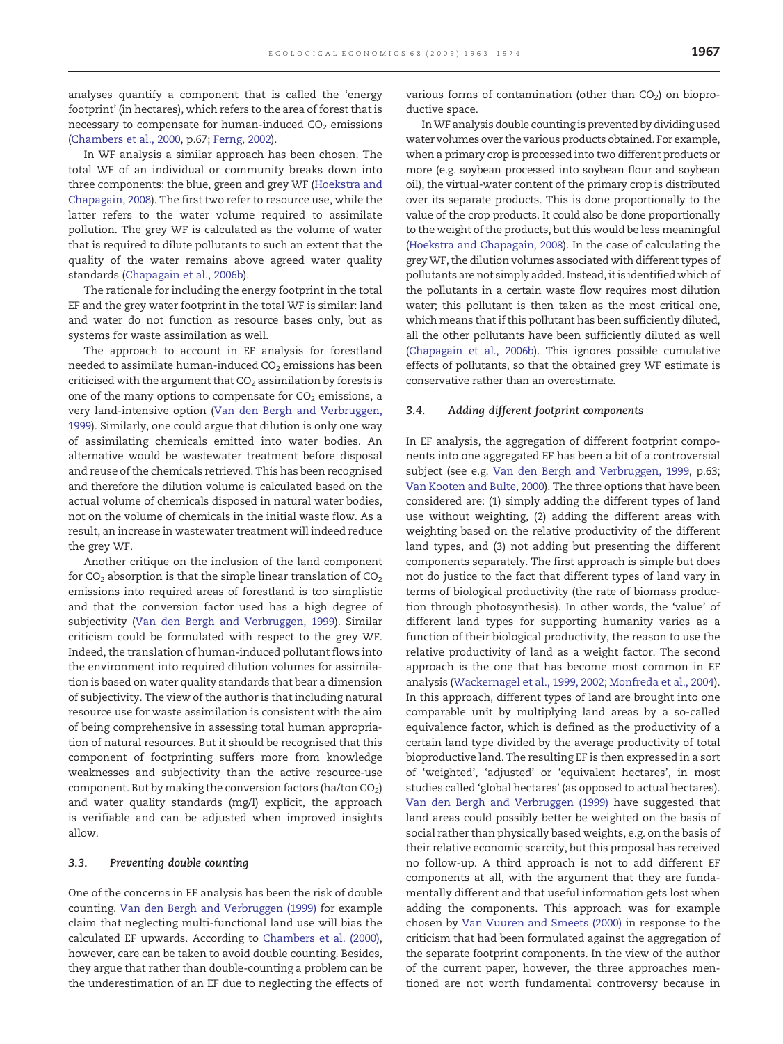analyses quantify a component that is called the 'energy footprint' (in hectares), which refers to the area of forest that is necessary to compensate for human-induced  $CO<sub>2</sub>$  emissions [\(Chambers et al., 2000](#page-9-0), p.67; [Ferng, 2002](#page-10-0)).

In WF analysis a similar approach has been chosen. The total WF of an individual or community breaks down into three components: the blue, green and grey WF [\(Hoekstra and](#page-10-0) [Chapagain, 2008\)](#page-10-0). The first two refer to resource use, while the latter refers to the water volume required to assimilate pollution. The grey WF is calculated as the volume of water that is required to dilute pollutants to such an extent that the quality of the water remains above agreed water quality standards [\(Chapagain et al., 2006b](#page-10-0)).

The rationale for including the energy footprint in the total EF and the grey water footprint in the total WF is similar: land and water do not function as resource bases only, but as systems for waste assimilation as well.

The approach to account in EF analysis for forestland needed to assimilate human-induced  $CO<sub>2</sub>$  emissions has been criticised with the argument that  $CO<sub>2</sub>$  assimilation by forests is one of the many options to compensate for  $CO<sub>2</sub>$  emissions, a very land-intensive option ([Van den Bergh and Verbruggen,](#page-11-0) [1999](#page-11-0)). Similarly, one could argue that dilution is only one way of assimilating chemicals emitted into water bodies. An alternative would be wastewater treatment before disposal and reuse of the chemicals retrieved. This has been recognised and therefore the dilution volume is calculated based on the actual volume of chemicals disposed in natural water bodies, not on the volume of chemicals in the initial waste flow. As a result, an increase in wastewater treatment will indeed reduce the grey WF.

Another critique on the inclusion of the land component for  $CO<sub>2</sub>$  absorption is that the simple linear translation of  $CO<sub>2</sub>$ emissions into required areas of forestland is too simplistic and that the conversion factor used has a high degree of subjectivity [\(Van den Bergh and Verbruggen, 1999\)](#page-11-0). Similar criticism could be formulated with respect to the grey WF. Indeed, the translation of human-induced pollutant flows into the environment into required dilution volumes for assimilation is based on water quality standards that bear a dimension of subjectivity. The view of the author is that including natural resource use for waste assimilation is consistent with the aim of being comprehensive in assessing total human appropriation of natural resources. But it should be recognised that this component of footprinting suffers more from knowledge weaknesses and subjectivity than the active resource-use component. But by making the conversion factors (ha/ton  $CO<sub>2</sub>$ ) and water quality standards (mg/l) explicit, the approach is verifiable and can be adjusted when improved insights allow.

#### 3.3. Preventing double counting

One of the concerns in EF analysis has been the risk of double counting. [Van den Bergh and Verbruggen \(1999\)](#page-11-0) for example claim that neglecting multi-functional land use will bias the calculated EF upwards. According to [Chambers et al. \(2000\),](#page-9-0) however, care can be taken to avoid double counting. Besides, they argue that rather than double-counting a problem can be the underestimation of an EF due to neglecting the effects of various forms of contamination (other than  $CO<sub>2</sub>$ ) on bioproductive space.

InWF analysis double counting is prevented by dividing used water volumes over the various products obtained. For example, when a primary crop is processed into two different products or more (e.g. soybean processed into soybean flour and soybean oil), the virtual-water content of the primary crop is distributed over its separate products. This is done proportionally to the value of the crop products. It could also be done proportionally to the weight of the products, but this would be less meaningful [\(Hoekstra and Chapagain, 2008](#page-10-0)). In the case of calculating the grey WF, the dilution volumes associated with different types of pollutants are not simply added. Instead, it is identified which of the pollutants in a certain waste flow requires most dilution water; this pollutant is then taken as the most critical one, which means that if this pollutant has been sufficiently diluted, all the other pollutants have been sufficiently diluted as well [\(Chapagain et al., 2006b](#page-10-0)). This ignores possible cumulative effects of pollutants, so that the obtained grey WF estimate is conservative rather than an overestimate.

#### 3.4. Adding different footprint components

In EF analysis, the aggregation of different footprint components into one aggregated EF has been a bit of a controversial subject (see e.g. [Van den Bergh and Verbruggen, 1999](#page-11-0), p.63; [Van Kooten and Bulte, 2000](#page-11-0)). The three options that have been considered are: (1) simply adding the different types of land use without weighting, (2) adding the different areas with weighting based on the relative productivity of the different land types, and (3) not adding but presenting the different components separately. The first approach is simple but does not do justice to the fact that different types of land vary in terms of biological productivity (the rate of biomass production through photosynthesis). In other words, the 'value' of different land types for supporting humanity varies as a function of their biological productivity, the reason to use the relative productivity of land as a weight factor. The second approach is the one that has become most common in EF analysis [\(Wackernagel et al., 1999, 2002; Monfreda et al., 2004](#page-11-0)). In this approach, different types of land are brought into one comparable unit by multiplying land areas by a so-called equivalence factor, which is defined as the productivity of a certain land type divided by the average productivity of total bioproductive land. The resulting EF is then expressed in a sort of 'weighted', 'adjusted' or 'equivalent hectares', in most studies called 'global hectares' (as opposed to actual hectares). [Van den Bergh and Verbruggen \(1999\)](#page-11-0) have suggested that land areas could possibly better be weighted on the basis of social rather than physically based weights, e.g. on the basis of their relative economic scarcity, but this proposal has received no follow-up. A third approach is not to add different EF components at all, with the argument that they are fundamentally different and that useful information gets lost when adding the components. This approach was for example chosen by [Van Vuuren and Smeets \(2000\)](#page-11-0) in response to the criticism that had been formulated against the aggregation of the separate footprint components. In the view of the author of the current paper, however, the three approaches mentioned are not worth fundamental controversy because in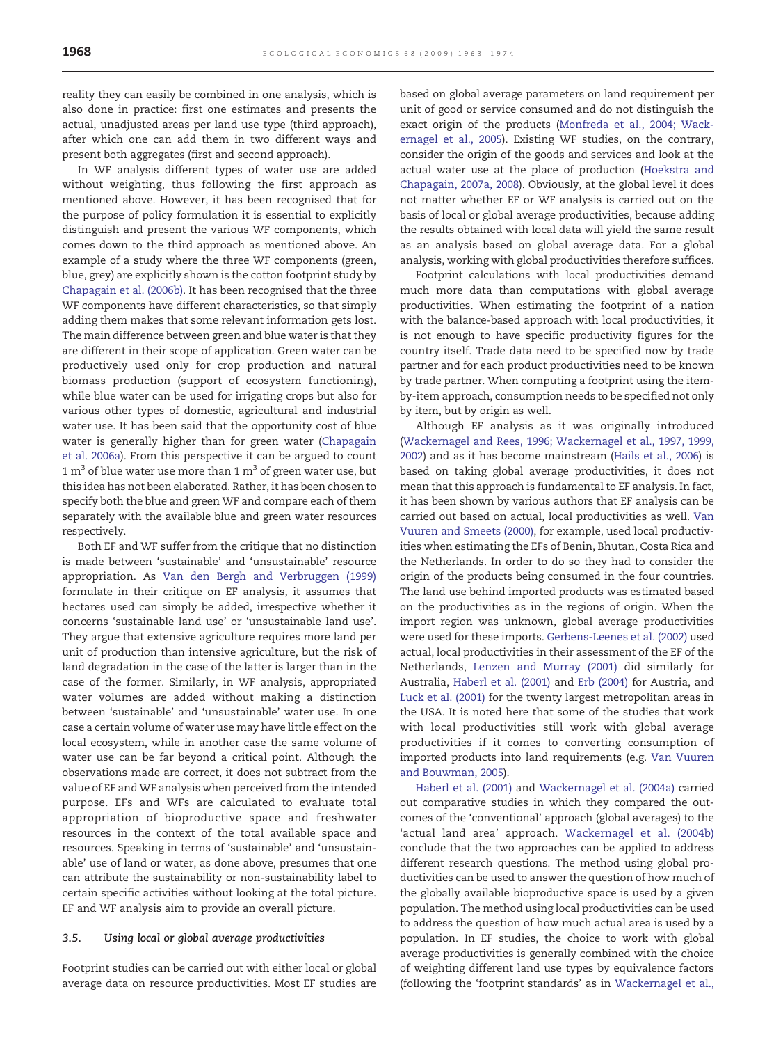reality they can easily be combined in one analysis, which is also done in practice: first one estimates and presents the actual, unadjusted areas per land use type (third approach), after which one can add them in two different ways and present both aggregates (first and second approach).

In WF analysis different types of water use are added without weighting, thus following the first approach as mentioned above. However, it has been recognised that for the purpose of policy formulation it is essential to explicitly distinguish and present the various WF components, which comes down to the third approach as mentioned above. An example of a study where the three WF components (green, blue, grey) are explicitly shown is the cotton footprint study by [Chapagain et al. \(2006b\)](#page-10-0). It has been recognised that the three WF components have different characteristics, so that simply adding them makes that some relevant information gets lost. The main difference between green and blue water is that they are different in their scope of application. Green water can be productively used only for crop production and natural biomass production (support of ecosystem functioning), while blue water can be used for irrigating crops but also for various other types of domestic, agricultural and industrial water use. It has been said that the opportunity cost of blue water is generally higher than for green water ([Chapagain](#page-10-0) [et al. 2006a\)](#page-10-0). From this perspective it can be argued to count 1  $\text{m}^3$  of blue water use more than 1  $\text{m}^3$  of green water use, but this idea has not been elaborated. Rather, it has been chosen to specify both the blue and green WF and compare each of them separately with the available blue and green water resources respectively.

Both EF and WF suffer from the critique that no distinction is made between 'sustainable' and 'unsustainable' resource appropriation. As [Van den Bergh and Verbruggen \(1999\)](#page-11-0) formulate in their critique on EF analysis, it assumes that hectares used can simply be added, irrespective whether it concerns 'sustainable land use' or 'unsustainable land use'. They argue that extensive agriculture requires more land per unit of production than intensive agriculture, but the risk of land degradation in the case of the latter is larger than in the case of the former. Similarly, in WF analysis, appropriated water volumes are added without making a distinction between 'sustainable' and 'unsustainable' water use. In one case a certain volume of water use may have little effect on the local ecosystem, while in another case the same volume of water use can be far beyond a critical point. Although the observations made are correct, it does not subtract from the value of EF and WF analysis when perceived from the intended purpose. EFs and WFs are calculated to evaluate total appropriation of bioproductive space and freshwater resources in the context of the total available space and resources. Speaking in terms of 'sustainable' and 'unsustainable' use of land or water, as done above, presumes that one can attribute the sustainability or non-sustainability label to certain specific activities without looking at the total picture. EF and WF analysis aim to provide an overall picture.

#### 3.5. Using local or global average productivities

Footprint studies can be carried out with either local or global average data on resource productivities. Most EF studies are based on global average parameters on land requirement per unit of good or service consumed and do not distinguish the exact origin of the products ([Monfreda et al., 2004; Wack](#page-10-0)[ernagel et al., 2005\)](#page-10-0). Existing WF studies, on the contrary, consider the origin of the goods and services and look at the actual water use at the place of production ([Hoekstra and](#page-10-0) [Chapagain, 2007a, 2008\)](#page-10-0). Obviously, at the global level it does not matter whether EF or WF analysis is carried out on the basis of local or global average productivities, because adding the results obtained with local data will yield the same result as an analysis based on global average data. For a global analysis, working with global productivities therefore suffices.

Footprint calculations with local productivities demand much more data than computations with global average productivities. When estimating the footprint of a nation with the balance-based approach with local productivities, it is not enough to have specific productivity figures for the country itself. Trade data need to be specified now by trade partner and for each product productivities need to be known by trade partner. When computing a footprint using the itemby-item approach, consumption needs to be specified not only by item, but by origin as well.

Although EF analysis as it was originally introduced ([Wackernagel and Rees, 1996; Wackernagel et al., 1997, 1999,](#page-11-0) [2002\)](#page-11-0) and as it has become mainstream [\(Hails et al., 2006\)](#page-10-0) is based on taking global average productivities, it does not mean that this approach is fundamental to EF analysis. In fact, it has been shown by various authors that EF analysis can be carried out based on actual, local productivities as well. [Van](#page-11-0) [Vuuren and Smeets \(2000\),](#page-11-0) for example, used local productivities when estimating the EFs of Benin, Bhutan, Costa Rica and the Netherlands. In order to do so they had to consider the origin of the products being consumed in the four countries. The land use behind imported products was estimated based on the productivities as in the regions of origin. When the import region was unknown, global average productivities were used for these imports. [Gerbens-Leenes et al. \(2002\)](#page-10-0) used actual, local productivities in their assessment of the EF of the Netherlands, [Lenzen and Murray \(2001\)](#page-10-0) did similarly for Australia, [Haberl et al. \(2001\)](#page-10-0) and [Erb \(2004\)](#page-10-0) for Austria, and [Luck et al. \(2001\)](#page-10-0) for the twenty largest metropolitan areas in the USA. It is noted here that some of the studies that work with local productivities still work with global average productivities if it comes to converting consumption of imported products into land requirements (e.g. [Van Vuuren](#page-11-0) [and Bouwman, 2005](#page-11-0)).

[Haberl et al. \(2001\)](#page-10-0) and [Wackernagel et al. \(2004a\)](#page-11-0) carried out comparative studies in which they compared the outcomes of the 'conventional' approach (global averages) to the 'actual land area' approach. [Wackernagel et al. \(2004b\)](#page-11-0) conclude that the two approaches can be applied to address different research questions. The method using global productivities can be used to answer the question of how much of the globally available bioproductive space is used by a given population. The method using local productivities can be used to address the question of how much actual area is used by a population. In EF studies, the choice to work with global average productivities is generally combined with the choice of weighting different land use types by equivalence factors (following the 'footprint standards' as in [Wackernagel et al.,](#page-11-0)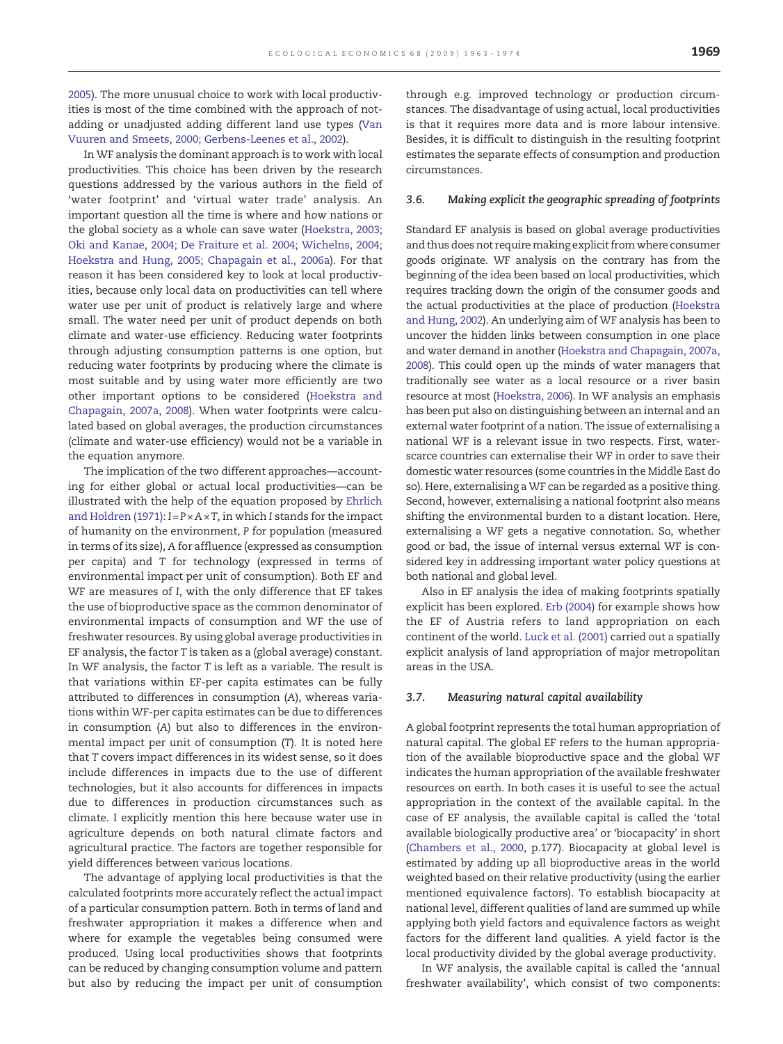[2005](#page-11-0)). The more unusual choice to work with local productivities is most of the time combined with the approach of notadding or unadjusted adding different land use types [\(Van](#page-11-0) [Vuuren and Smeets, 2000; Gerbens-Leenes et al., 2002\)](#page-11-0).

In WF analysis the dominant approach is to work with local productivities. This choice has been driven by the research questions addressed by the various authors in the field of 'water footprint' and 'virtual water trade' analysis. An important question all the time is where and how nations or the global society as a whole can save water ([Hoekstra, 2003;](#page-10-0) [Oki and Kanae, 2004; De Fraiture et al. 2004; Wichelns, 2004;](#page-10-0) [Hoekstra and Hung, 2005; Chapagain et al., 2006a\)](#page-10-0). For that reason it has been considered key to look at local productivities, because only local data on productivities can tell where water use per unit of product is relatively large and where small. The water need per unit of product depends on both climate and water-use efficiency. Reducing water footprints through adjusting consumption patterns is one option, but reducing water footprints by producing where the climate is most suitable and by using water more efficiently are two other important options to be considered ([Hoekstra and](#page-10-0) [Chapagain, 2007a, 2008\)](#page-10-0). When water footprints were calculated based on global averages, the production circumstances (climate and water-use efficiency) would not be a variable in the equation anymore.

The implication of the two different approaches—accounting for either global or actual local productivities—can be illustrated with the help of the equation proposed by [Ehrlich](#page-10-0) [and Holdren \(1971\)](#page-10-0):  $I = P \times A \times T$ , in which I stands for the impact of humanity on the environment, P for population (measured in terms of its size), A for affluence (expressed as consumption per capita) and T for technology (expressed in terms of environmental impact per unit of consumption). Both EF and WF are measures of I, with the only difference that EF takes the use of bioproductive space as the common denominator of environmental impacts of consumption and WF the use of freshwater resources. By using global average productivities in EF analysis, the factor T is taken as a (global average) constant. In WF analysis, the factor T is left as a variable. The result is that variations within EF-per capita estimates can be fully attributed to differences in consumption (A), whereas variations within WF-per capita estimates can be due to differences in consumption (A) but also to differences in the environmental impact per unit of consumption (T). It is noted here that T covers impact differences in its widest sense, so it does include differences in impacts due to the use of different technologies, but it also accounts for differences in impacts due to differences in production circumstances such as climate. I explicitly mention this here because water use in agriculture depends on both natural climate factors and agricultural practice. The factors are together responsible for yield differences between various locations.

The advantage of applying local productivities is that the calculated footprints more accurately reflect the actual impact of a particular consumption pattern. Both in terms of land and freshwater appropriation it makes a difference when and where for example the vegetables being consumed were produced. Using local productivities shows that footprints can be reduced by changing consumption volume and pattern but also by reducing the impact per unit of consumption

through e.g. improved technology or production circumstances. The disadvantage of using actual, local productivities is that it requires more data and is more labour intensive. Besides, it is difficult to distinguish in the resulting footprint estimates the separate effects of consumption and production circumstances.

#### 3.6. Making explicit the geographic spreading of footprints

Standard EF analysis is based on global average productivities and thus does not require making explicit from where consumer goods originate. WF analysis on the contrary has from the beginning of the idea been based on local productivities, which requires tracking down the origin of the consumer goods and the actual productivities at the place of production ([Hoekstra](#page-10-0) [and Hung, 2002](#page-10-0)). An underlying aim of WF analysis has been to uncover the hidden links between consumption in one place and water demand in another ([Hoekstra and Chapagain, 2007a,](#page-10-0) [2008](#page-10-0)). This could open up the minds of water managers that traditionally see water as a local resource or a river basin resource at most ([Hoekstra, 2006](#page-10-0)). In WF analysis an emphasis has been put also on distinguishing between an internal and an external water footprint of a nation. The issue of externalising a national WF is a relevant issue in two respects. First, waterscarce countries can externalise their WF in order to save their domestic water resources (some countries in the Middle East do so). Here, externalising a WF can be regarded as a positive thing. Second, however, externalising a national footprint also means shifting the environmental burden to a distant location. Here, externalising a WF gets a negative connotation. So, whether good or bad, the issue of internal versus external WF is considered key in addressing important water policy questions at both national and global level.

Also in EF analysis the idea of making footprints spatially explicit has been explored. [Erb \(2004\)](#page-10-0) for example shows how the EF of Austria refers to land appropriation on each continent of the world. [Luck et al. \(2001\)](#page-10-0) carried out a spatially explicit analysis of land appropriation of major metropolitan areas in the USA.

#### 3.7. Measuring natural capital availability

A global footprint represents the total human appropriation of natural capital. The global EF refers to the human appropriation of the available bioproductive space and the global WF indicates the human appropriation of the available freshwater resources on earth. In both cases it is useful to see the actual appropriation in the context of the available capital. In the case of EF analysis, the available capital is called the 'total available biologically productive area' or 'biocapacity' in short [\(Chambers et al., 2000](#page-9-0), p.177). Biocapacity at global level is estimated by adding up all bioproductive areas in the world weighted based on their relative productivity (using the earlier mentioned equivalence factors). To establish biocapacity at national level, different qualities of land are summed up while applying both yield factors and equivalence factors as weight factors for the different land qualities. A yield factor is the local productivity divided by the global average productivity.

In WF analysis, the available capital is called the 'annual freshwater availability', which consist of two components: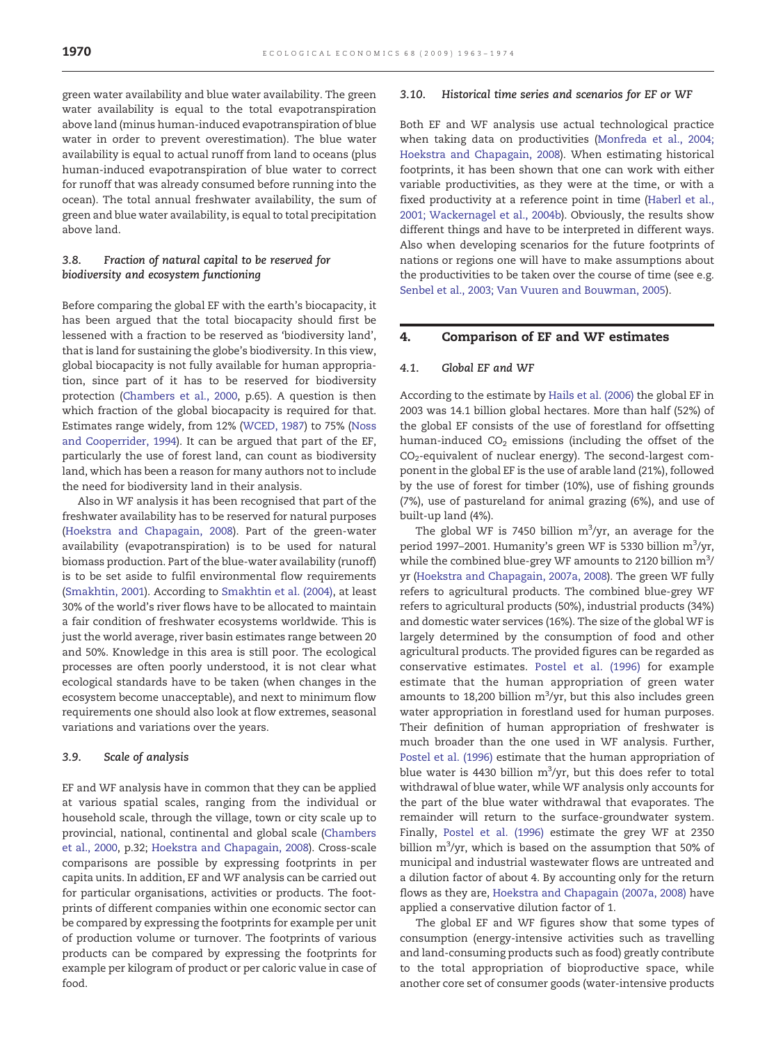green water availability and blue water availability. The green water availability is equal to the total evapotranspiration above land (minus human-induced evapotranspiration of blue water in order to prevent overestimation). The blue water availability is equal to actual runoff from land to oceans (plus human-induced evapotranspiration of blue water to correct for runoff that was already consumed before running into the ocean). The total annual freshwater availability, the sum of green and blue water availability, is equal to total precipitation above land.

#### 3.8. Fraction of natural capital to be reserved for biodiversity and ecosystem functioning

Before comparing the global EF with the earth's biocapacity, it has been argued that the total biocapacity should first be lessened with a fraction to be reserved as 'biodiversity land', that is land for sustaining the globe's biodiversity. In this view, global biocapacity is not fully available for human appropriation, since part of it has to be reserved for biodiversity protection ([Chambers et al., 2000,](#page-9-0) p.65). A question is then which fraction of the global biocapacity is required for that. Estimates range widely, from 12% ([WCED, 1987\)](#page-11-0) to 75% [\(Noss](#page-10-0) [and Cooperrider, 1994](#page-10-0)). It can be argued that part of the EF, particularly the use of forest land, can count as biodiversity land, which has been a reason for many authors not to include the need for biodiversity land in their analysis.

Also in WF analysis it has been recognised that part of the freshwater availability has to be reserved for natural purposes ([Hoekstra and Chapagain, 2008](#page-10-0)). Part of the green-water availability (evapotranspiration) is to be used for natural biomass production. Part of the blue-water availability (runoff) is to be set aside to fulfil environmental flow requirements ([Smakhtin, 2001\)](#page-10-0). According to [Smakhtin et al. \(2004\)](#page-10-0), at least 30% of the world's river flows have to be allocated to maintain a fair condition of freshwater ecosystems worldwide. This is just the world average, river basin estimates range between 20 and 50%. Knowledge in this area is still poor. The ecological processes are often poorly understood, it is not clear what ecological standards have to be taken (when changes in the ecosystem become unacceptable), and next to minimum flow requirements one should also look at flow extremes, seasonal variations and variations over the years.

#### 3.9. Scale of analysis

EF and WF analysis have in common that they can be applied at various spatial scales, ranging from the individual or household scale, through the village, town or city scale up to provincial, national, continental and global scale ([Chambers](#page-9-0) [et al., 2000](#page-9-0), p.32; [Hoekstra and Chapagain, 2008\)](#page-10-0). Cross-scale comparisons are possible by expressing footprints in per capita units. In addition, EF and WF analysis can be carried out for particular organisations, activities or products. The footprints of different companies within one economic sector can be compared by expressing the footprints for example per unit of production volume or turnover. The footprints of various products can be compared by expressing the footprints for example per kilogram of product or per caloric value in case of food.

#### 3.10. Historical time series and scenarios for EF or WF

Both EF and WF analysis use actual technological practice when taking data on productivities ([Monfreda et al., 2004;](#page-10-0) [Hoekstra and Chapagain, 2008](#page-10-0)). When estimating historical footprints, it has been shown that one can work with either variable productivities, as they were at the time, or with a fixed productivity at a reference point in time ([Haberl et al.,](#page-10-0) [2001; Wackernagel et al., 2004b\)](#page-10-0). Obviously, the results show different things and have to be interpreted in different ways. Also when developing scenarios for the future footprints of nations or regions one will have to make assumptions about the productivities to be taken over the course of time (see e.g. [Senbel et al., 2003; Van Vuuren and Bouwman, 2005](#page-10-0)).

#### 4. Comparison of EF and WF estimates

#### 4.1. Global EF and WF

According to the estimate by [Hails et al. \(2006\)](#page-10-0) the global EF in 2003 was 14.1 billion global hectares. More than half (52%) of the global EF consists of the use of forestland for offsetting human-induced  $CO<sub>2</sub>$  emissions (including the offset of the  $CO<sub>2</sub>$ -equivalent of nuclear energy). The second-largest component in the global EF is the use of arable land (21%), followed by the use of forest for timber (10%), use of fishing grounds (7%), use of pastureland for animal grazing (6%), and use of built-up land (4%).

The global WF is 7450 billion  $m^3/yr$ , an average for the period 1997-2001. Humanity's green WF is 5330 billion m<sup>3</sup>/yr, while the combined blue-grey WF amounts to 2120 billion  $m^3/$ yr [\(Hoekstra and Chapagain, 2007a, 2008\)](#page-10-0). The green WF fully refers to agricultural products. The combined blue-grey WF refers to agricultural products (50%), industrial products (34%) and domestic water services (16%). The size of the global WF is largely determined by the consumption of food and other agricultural products. The provided figures can be regarded as conservative estimates. [Postel et al. \(1996\)](#page-10-0) for example estimate that the human appropriation of green water amounts to 18,200 billion  $m^3$ /yr, but this also includes green water appropriation in forestland used for human purposes. Their definition of human appropriation of freshwater is much broader than the one used in WF analysis. Further, [Postel et al. \(1996\)](#page-10-0) estimate that the human appropriation of blue water is 4430 billion  $m^3$ /yr, but this does refer to total withdrawal of blue water, while WF analysis only accounts for the part of the blue water withdrawal that evaporates. The remainder will return to the surface-groundwater system. Finally, [Postel et al. \(1996\)](#page-10-0) estimate the grey WF at 2350 billion m<sup>3</sup>/yr, which is based on the assumption that 50% of municipal and industrial wastewater flows are untreated and a dilution factor of about 4. By accounting only for the return flows as they are, [Hoekstra and Chapagain \(2007a, 2008\)](#page-10-0) have applied a conservative dilution factor of 1.

The global EF and WF figures show that some types of consumption (energy-intensive activities such as travelling and land-consuming products such as food) greatly contribute to the total appropriation of bioproductive space, while another core set of consumer goods (water-intensive products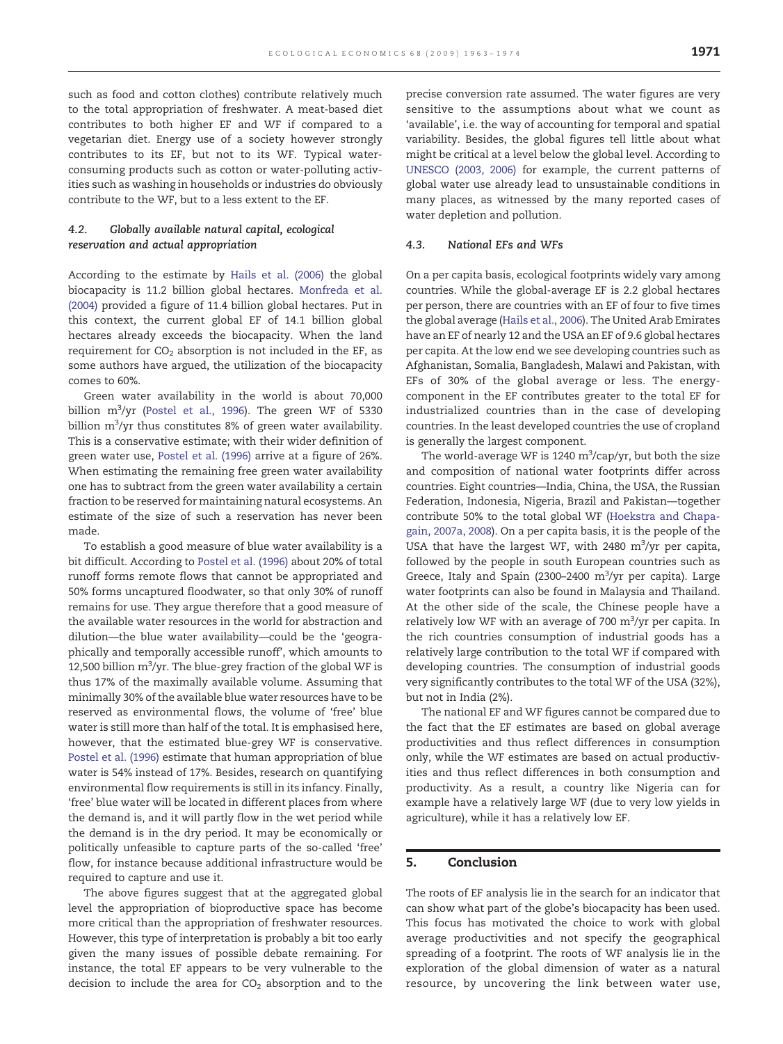such as food and cotton clothes) contribute relatively much to the total appropriation of freshwater. A meat-based diet contributes to both higher EF and WF if compared to a

vegetarian diet. Energy use of a society however strongly contributes to its EF, but not to its WF. Typical waterconsuming products such as cotton or water-polluting activities such as washing in households or industries do obviously contribute to the WF, but to a less extent to the EF.

#### 4.2. Globally available natural capital, ecological reservation and actual appropriation

According to the estimate by [Hails et al. \(2006\)](#page-10-0) the global biocapacity is 11.2 billion global hectares. [Monfreda et al.](#page-10-0) [\(2004\)](#page-10-0) provided a figure of 11.4 billion global hectares. Put in this context, the current global EF of 14.1 billion global hectares already exceeds the biocapacity. When the land requirement for  $CO<sub>2</sub>$  absorption is not included in the EF, as some authors have argued, the utilization of the biocapacity comes to 60%.

Green water availability in the world is about 70,000 billion  $\mathrm{m}^3/\mathrm{yr}$  [\(Postel et al., 1996\)](#page-10-0). The green WF of 5330 billion m $\frac{3}{y}$ r thus constitutes 8% of green water availability. This is a conservative estimate; with their wider definition of green water use, [Postel et al. \(1996\)](#page-10-0) arrive at a figure of 26%. When estimating the remaining free green water availability one has to subtract from the green water availability a certain fraction to be reserved for maintaining natural ecosystems. An estimate of the size of such a reservation has never been made.

To establish a good measure of blue water availability is a bit difficult. According to [Postel et al. \(1996\)](#page-10-0) about 20% of total runoff forms remote flows that cannot be appropriated and 50% forms uncaptured floodwater, so that only 30% of runoff remains for use. They argue therefore that a good measure of the available water resources in the world for abstraction and dilution—the blue water availability—could be the 'geographically and temporally accessible runoff', which amounts to 12,500 billion m<sup>3</sup>/yr. The blue-grey fraction of the global WF is thus 17% of the maximally available volume. Assuming that minimally 30% of the available blue water resources have to be reserved as environmental flows, the volume of 'free' blue water is still more than half of the total. It is emphasised here, however, that the estimated blue-grey WF is conservative. [Postel et al. \(1996\)](#page-10-0) estimate that human appropriation of blue water is 54% instead of 17%. Besides, research on quantifying environmental flow requirements is still in its infancy. Finally, 'free' blue water will be located in different places from where the demand is, and it will partly flow in the wet period while the demand is in the dry period. It may be economically or politically unfeasible to capture parts of the so-called 'free' flow, for instance because additional infrastructure would be required to capture and use it.

The above figures suggest that at the aggregated global level the appropriation of bioproductive space has become more critical than the appropriation of freshwater resources. However, this type of interpretation is probably a bit too early given the many issues of possible debate remaining. For instance, the total EF appears to be very vulnerable to the decision to include the area for  $CO<sub>2</sub>$  absorption and to the precise conversion rate assumed. The water figures are very sensitive to the assumptions about what we count as 'available', i.e. the way of accounting for temporal and spatial variability. Besides, the global figures tell little about what might be critical at a level below the global level. According to [UNESCO \(2003, 2006\)](#page-10-0) for example, the current patterns of global water use already lead to unsustainable conditions in many places, as witnessed by the many reported cases of water depletion and pollution.

#### 4.3. National EFs and WFs

On a per capita basis, ecological footprints widely vary among countries. While the global-average EF is 2.2 global hectares per person, there are countries with an EF of four to five times the global average [\(Hails et al., 2006](#page-10-0)). The United Arab Emirates have an EF of nearly 12 and the USA an EF of 9.6 global hectares per capita. At the low end we see developing countries such as Afghanistan, Somalia, Bangladesh, Malawi and Pakistan, with EFs of 30% of the global average or less. The energycomponent in the EF contributes greater to the total EF for industrialized countries than in the case of developing countries. In the least developed countries the use of cropland is generally the largest component.

The world-average WF is 1240  $m^3$ /cap/yr, but both the size and composition of national water footprints differ across countries. Eight countries—India, China, the USA, the Russian Federation, Indonesia, Nigeria, Brazil and Pakistan—together contribute 50% to the total global WF ([Hoekstra and Chapa](#page-10-0)[gain, 2007a, 2008](#page-10-0)). On a per capita basis, it is the people of the USA that have the largest WF, with 2480 m<sup>3</sup>/yr per capita, followed by the people in south European countries such as Greece, Italy and Spain (2300-2400 m<sup>3</sup>/yr per capita). Large water footprints can also be found in Malaysia and Thailand. At the other side of the scale, the Chinese people have a relatively low WF with an average of 700  $\mathrm{m}^3/\mathrm{yr}$  per capita. In the rich countries consumption of industrial goods has a relatively large contribution to the total WF if compared with developing countries. The consumption of industrial goods very significantly contributes to the total WF of the USA (32%), but not in India (2%).

The national EF and WF figures cannot be compared due to the fact that the EF estimates are based on global average productivities and thus reflect differences in consumption only, while the WF estimates are based on actual productivities and thus reflect differences in both consumption and productivity. As a result, a country like Nigeria can for example have a relatively large WF (due to very low yields in agriculture), while it has a relatively low EF.

#### 5. Conclusion

The roots of EF analysis lie in the search for an indicator that can show what part of the globe's biocapacity has been used. This focus has motivated the choice to work with global average productivities and not specify the geographical spreading of a footprint. The roots of WF analysis lie in the exploration of the global dimension of water as a natural resource, by uncovering the link between water use,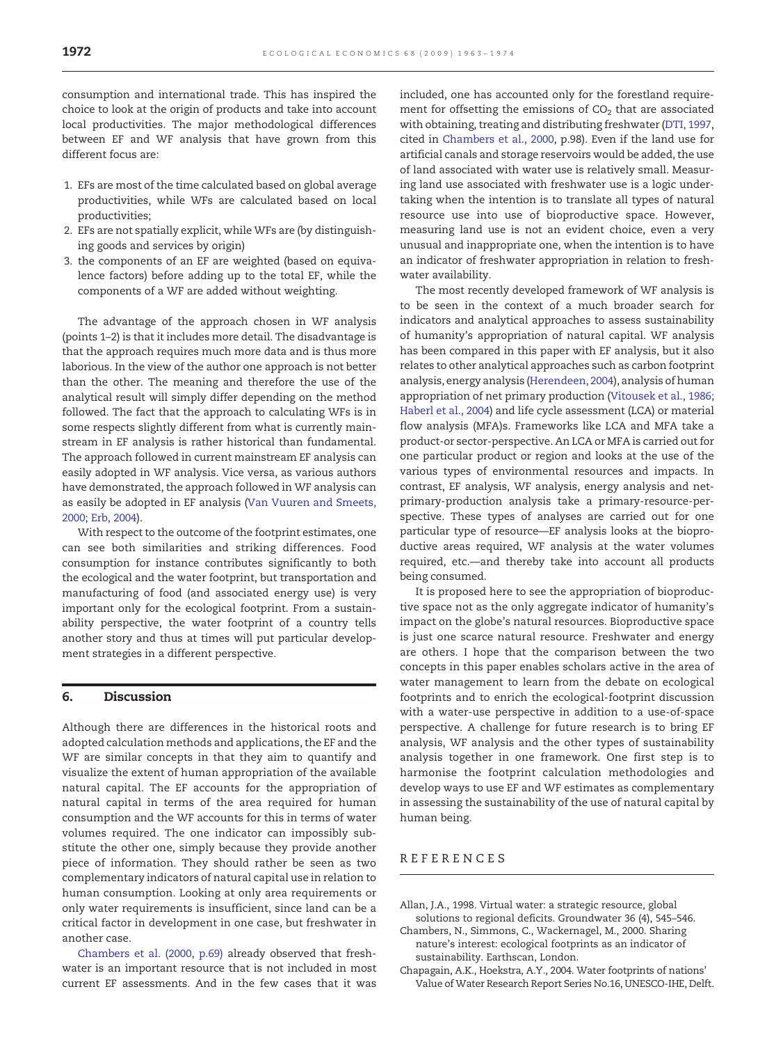<span id="page-9-0"></span>consumption and international trade. This has inspired the choice to look at the origin of products and take into account local productivities. The major methodological differences between EF and WF analysis that have grown from this different focus are:

- 1. EFs are most of the time calculated based on global average productivities, while WFs are calculated based on local productivities;
- 2. EFs are not spatially explicit, while WFs are (by distinguishing goods and services by origin)
- 3. the components of an EF are weighted (based on equivalence factors) before adding up to the total EF, while the components of a WF are added without weighting.

The advantage of the approach chosen in WF analysis (points 1–2) is that it includes more detail. The disadvantage is that the approach requires much more data and is thus more laborious. In the view of the author one approach is not better than the other. The meaning and therefore the use of the analytical result will simply differ depending on the method followed. The fact that the approach to calculating WFs is in some respects slightly different from what is currently mainstream in EF analysis is rather historical than fundamental. The approach followed in current mainstream EF analysis can easily adopted in WF analysis. Vice versa, as various authors have demonstrated, the approach followed in WF analysis can as easily be adopted in EF analysis ([Van Vuuren and Smeets,](#page-11-0) [2000; Erb, 2004\)](#page-11-0).

With respect to the outcome of the footprint estimates, one can see both similarities and striking differences. Food consumption for instance contributes significantly to both the ecological and the water footprint, but transportation and manufacturing of food (and associated energy use) is very important only for the ecological footprint. From a sustainability perspective, the water footprint of a country tells another story and thus at times will put particular development strategies in a different perspective.

### 6. Discussion

Although there are differences in the historical roots and adopted calculation methods and applications, the EF and the WF are similar concepts in that they aim to quantify and visualize the extent of human appropriation of the available natural capital. The EF accounts for the appropriation of natural capital in terms of the area required for human consumption and the WF accounts for this in terms of water volumes required. The one indicator can impossibly substitute the other one, simply because they provide another piece of information. They should rather be seen as two complementary indicators of natural capital use in relation to human consumption. Looking at only area requirements or only water requirements is insufficient, since land can be a critical factor in development in one case, but freshwater in another case.

Chambers et al. (2000, p.69) already observed that freshwater is an important resource that is not included in most current EF assessments. And in the few cases that it was included, one has accounted only for the forestland requirement for offsetting the emissions of  $CO<sub>2</sub>$  that are associated with obtaining, treating and distributing freshwater [\(DTI, 1997](#page-10-0), cited in Chambers et al., 2000, p.98). Even if the land use for artificial canals and storage reservoirs would be added, the use of land associated with water use is relatively small. Measuring land use associated with freshwater use is a logic undertaking when the intention is to translate all types of natural resource use into use of bioproductive space. However, measuring land use is not an evident choice, even a very unusual and inappropriate one, when the intention is to have an indicator of freshwater appropriation in relation to freshwater availability.

The most recently developed framework of WF analysis is to be seen in the context of a much broader search for indicators and analytical approaches to assess sustainability of humanity's appropriation of natural capital. WF analysis has been compared in this paper with EF analysis, but it also relates to other analytical approaches such as carbon footprint analysis, energy analysis [\(Herendeen, 2004\)](#page-10-0), analysis of human appropriation of net primary production ([Vitousek et al., 1986;](#page-11-0) [Haberl et al., 2004\)](#page-11-0) and life cycle assessment (LCA) or material flow analysis (MFA)s. Frameworks like LCA and MFA take a product-or sector-perspective. An LCA or MFA is carried out for one particular product or region and looks at the use of the various types of environmental resources and impacts. In contrast, EF analysis, WF analysis, energy analysis and netprimary-production analysis take a primary-resource-perspective. These types of analyses are carried out for one particular type of resource—EF analysis looks at the bioproductive areas required, WF analysis at the water volumes required, etc.—and thereby take into account all products being consumed.

It is proposed here to see the appropriation of bioproductive space not as the only aggregate indicator of humanity's impact on the globe's natural resources. Bioproductive space is just one scarce natural resource. Freshwater and energy are others. I hope that the comparison between the two concepts in this paper enables scholars active in the area of water management to learn from the debate on ecological footprints and to enrich the ecological-footprint discussion with a water-use perspective in addition to a use-of-space perspective. A challenge for future research is to bring EF analysis, WF analysis and the other types of sustainability analysis together in one framework. One first step is to harmonise the footprint calculation methodologies and develop ways to use EF and WF estimates as complementary in assessing the sustainability of the use of natural capital by human being.

### REFERENCES

- Allan, J.A., 1998. Virtual water: a strategic resource, global solutions to regional deficits. Groundwater 36 (4), 545–546.
- Chambers, N., Simmons, C., Wackernagel, M., 2000. Sharing nature's interest: ecological footprints as an indicator of sustainability. Earthscan, London.
- Chapagain, A.K., Hoekstra, A.Y., 2004. Water footprints of nations' Value of Water Research Report Series No.16, UNESCO-IHE, Delft.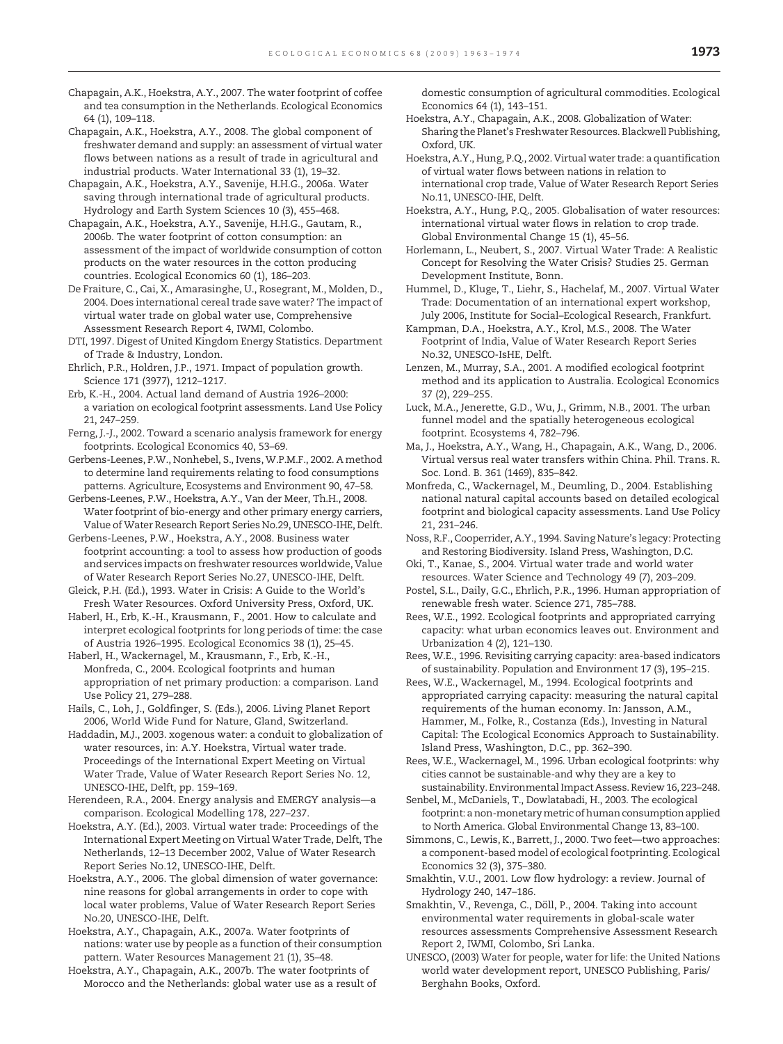- <span id="page-10-0"></span>Chapagain, A.K., Hoekstra, A.Y., 2007. The water footprint of coffee and tea consumption in the Netherlands. Ecological Economics 64 (1), 109–118.
- Chapagain, A.K., Hoekstra, A.Y., 2008. The global component of freshwater demand and supply: an assessment of virtual water flows between nations as a result of trade in agricultural and industrial products. Water International 33 (1), 19–32.
- Chapagain, A.K., Hoekstra, A.Y., Savenije, H.H.G., 2006a. Water saving through international trade of agricultural products. Hydrology and Earth System Sciences 10 (3), 455–468.
- Chapagain, A.K., Hoekstra, A.Y., Savenije, H.H.G., Gautam, R., 2006b. The water footprint of cotton consumption: an assessment of the impact of worldwide consumption of cotton products on the water resources in the cotton producing countries. Ecological Economics 60 (1), 186–203.
- De Fraiture, C., Cai, X., Amarasinghe, U., Rosegrant, M., Molden, D., 2004. Does international cereal trade save water? The impact of virtual water trade on global water use, Comprehensive Assessment Research Report 4, IWMI, Colombo.
- DTI, 1997. Digest of United Kingdom Energy Statistics. Department of Trade & Industry, London.
- Ehrlich, P.R., Holdren, J.P., 1971. Impact of population growth. Science 171 (3977), 1212–1217.
- Erb, K.-H., 2004. Actual land demand of Austria 1926–2000: a variation on ecological footprint assessments. Land Use Policy 21, 247–259.
- Ferng, J.-J., 2002. Toward a scenario analysis framework for energy footprints. Ecological Economics 40, 53–69.
- Gerbens-Leenes, P.W., Nonhebel, S., Ivens,W.P.M.F., 2002. A method to determine land requirements relating to food consumptions patterns. Agriculture, Ecosystems and Environment 90, 47–58.
- Gerbens-Leenes, P.W., Hoekstra, A.Y., Van der Meer, Th.H., 2008. Water footprint of bio-energy and other primary energy carriers, Value of Water Research Report Series No.29, UNESCO-IHE, Delft.
- Gerbens-Leenes, P.W., Hoekstra, A.Y., 2008. Business water footprint accounting: a tool to assess how production of goods and services impacts on freshwater resources worldwide, Value of Water Research Report Series No.27, UNESCO-IHE, Delft.
- Gleick, P.H. (Ed.), 1993. Water in Crisis: A Guide to the World's Fresh Water Resources. Oxford University Press, Oxford, UK.
- Haberl, H., Erb, K.-H., Krausmann, F., 2001. How to calculate and interpret ecological footprints for long periods of time: the case of Austria 1926–1995. Ecological Economics 38 (1), 25–45.
- Haberl, H., Wackernagel, M., Krausmann, F., Erb, K.-H., Monfreda, C., 2004. Ecological footprints and human appropriation of net primary production: a comparison. Land Use Policy 21, 279–288.
- Hails, C., Loh, J., Goldfinger, S. (Eds.), 2006. Living Planet Report 2006, World Wide Fund for Nature, Gland, Switzerland.
- Haddadin, M.J., 2003. xogenous water: a conduit to globalization of water resources, in: A.Y. Hoekstra, Virtual water trade. Proceedings of the International Expert Meeting on Virtual Water Trade, Value of Water Research Report Series No. 12, UNESCO-IHE, Delft, pp. 159–169.
- Herendeen, R.A., 2004. Energy analysis and EMERGY analysis—a comparison. Ecological Modelling 178, 227–237.
- Hoekstra, A.Y. (Ed.), 2003. Virtual water trade: Proceedings of the International Expert Meeting on Virtual Water Trade, Delft, The Netherlands, 12–13 December 2002, Value of Water Research Report Series No.12, UNESCO-IHE, Delft.
- Hoekstra, A.Y., 2006. The global dimension of water governance: nine reasons for global arrangements in order to cope with local water problems, Value of Water Research Report Series No.20, UNESCO-IHE, Delft.
- Hoekstra, A.Y., Chapagain, A.K., 2007a. Water footprints of nations: water use by people as a function of their consumption pattern. Water Resources Management 21 (1), 35–48.
- Hoekstra, A.Y., Chapagain, A.K., 2007b. The water footprints of Morocco and the Netherlands: global water use as a result of

domestic consumption of agricultural commodities. Ecological Economics 64 (1), 143–151.

- Hoekstra, A.Y., Chapagain, A.K., 2008. Globalization of Water: Sharing the Planet's Freshwater Resources. Blackwell Publishing, Oxford, UK.
- Hoekstra, A.Y., Hung, P.Q., 2002. Virtual water trade: a quantification of virtual water flows between nations in relation to international crop trade, Value of Water Research Report Series No.11, UNESCO-IHE, Delft.
- Hoekstra, A.Y., Hung, P.Q., 2005. Globalisation of water resources: international virtual water flows in relation to crop trade. Global Environmental Change 15 (1), 45–56.
- Horlemann, L., Neubert, S., 2007. Virtual Water Trade: A Realistic Concept for Resolving the Water Crisis? Studies 25. German Development Institute, Bonn.
- Hummel, D., Kluge, T., Liehr, S., Hachelaf, M., 2007. Virtual Water Trade: Documentation of an international expert workshop, July 2006, Institute for Social–Ecological Research, Frankfurt.
- Kampman, D.A., Hoekstra, A.Y., Krol, M.S., 2008. The Water Footprint of India, Value of Water Research Report Series No.32, UNESCO-IsHE, Delft.
- Lenzen, M., Murray, S.A., 2001. A modified ecological footprint method and its application to Australia. Ecological Economics 37 (2), 229–255.
- Luck, M.A., Jenerette, G.D., Wu, J., Grimm, N.B., 2001. The urban funnel model and the spatially heterogeneous ecological footprint. Ecosystems 4, 782–796.
- Ma, J., Hoekstra, A.Y., Wang, H., Chapagain, A.K., Wang, D., 2006. Virtual versus real water transfers within China. Phil. Trans. R. Soc. Lond. B. 361 (1469), 835–842.
- Monfreda, C., Wackernagel, M., Deumling, D., 2004. Establishing national natural capital accounts based on detailed ecological footprint and biological capacity assessments. Land Use Policy 21, 231–246.
- Noss, R.F., Cooperrider, A.Y., 1994. Saving Nature's legacy: Protecting and Restoring Biodiversity. Island Press, Washington, D.C.
- Oki, T., Kanae, S., 2004. Virtual water trade and world water resources. Water Science and Technology 49 (7), 203–209.
- Postel, S.L., Daily, G.C., Ehrlich, P.R., 1996. Human appropriation of renewable fresh water. Science 271, 785–788.
- Rees, W.E., 1992. Ecological footprints and appropriated carrying capacity: what urban economics leaves out. Environment and Urbanization 4 (2), 121–130.
- Rees, W.E., 1996. Revisiting carrying capacity: area-based indicators of sustainability. Population and Environment 17 (3), 195–215.
- Rees, W.E., Wackernagel, M., 1994. Ecological footprints and appropriated carrying capacity: measuring the natural capital requirements of the human economy. In: Jansson, A.M., Hammer, M., Folke, R., Costanza (Eds.), Investing in Natural Capital: The Ecological Economics Approach to Sustainability. Island Press, Washington, D.C., pp. 362–390.
- Rees, W.E., Wackernagel, M., 1996. Urban ecological footprints: why cities cannot be sustainable-and why they are a key to sustainability. Environmental Impact Assess. Review 16, 223–248.
- Senbel, M., McDaniels, T., Dowlatabadi, H., 2003. The ecological footprint: a non-monetary metric of human consumption applied to North America. Global Environmental Change 13, 83–100.
- Simmons, C., Lewis, K., Barrett, J., 2000. Two feet—two approaches: a component-based model of ecological footprinting. Ecological Economics 32 (3), 375–380.
- Smakhtin, V.U., 2001. Low flow hydrology: a review. Journal of Hydrology 240, 147–186.
- Smakhtin, V., Revenga, C., Döll, P., 2004. Taking into account environmental water requirements in global-scale water resources assessments Comprehensive Assessment Research Report 2, IWMI, Colombo, Sri Lanka.
- UNESCO, (2003) Water for people, water for life: the United Nations world water development report, UNESCO Publishing, Paris/ Berghahn Books, Oxford.